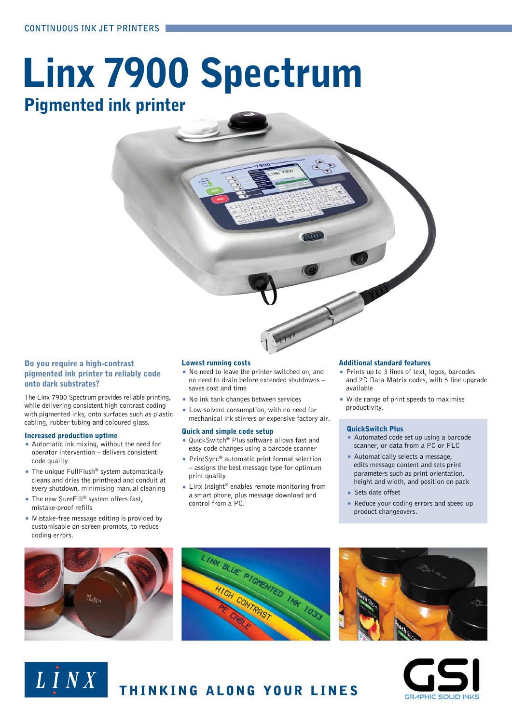# Linx 7900 Spectrum Pigmented ink printer

### Do you require a high-contrast pigmented ink printer to reliably code onto dark substrates?

The Linx 7900 Spectrum provides reliable printing, while delivering consistent high contrast coding with pigmented inks, onto surfaces such as plastic cabling, rubber tubing and coloured glass.

### Increased production uptime

- Automatic ink mixing, without the need for operator intervention – delivers consistent code quality
- The unique FullFlush<sup>®</sup> system automatically cleans and dries the printhead and conduit at every shutdown, minimising manual cleaning
- The new SureFill® system offers fast, mistake-proof refills
- Mistake-free message editing is provided by customisable on-screen prompts, to reduce coding errors.

### Lowest running costs

- No need to leave the printer switched on, and no need to drain before extended shutdowns – saves cost and time
- No ink tank changes between services
- Low solvent consumption, with no need for mechanical ink stirrers or expensive factory air.

### Quick and simple code setup

- QuickSwitch® Plus software allows fast and easy code changes using a barcode scanner
- PrintSync® automatic print format selection – assigns the best message type for optimum print quality
- Linx Insight<sup>®</sup> enables remote monitoring from a smart phone, plus message download and control from a PC.

### Additional standard features

- Prints up to 3 lines of text, logos, barcodes and 2D Data Matrix codes, with 5 line upgrade available
- Wide range of print speeds to maximise productivity.

### QuickSwitch Plus

- Automated code set up using a barcode scanner, or data from a PC or PLC
- Automatically selects a message, edits message content and sets print parameters such as print orientation, height and width, and position on pack
- Sets date offset
- Reduce your coding errors and speed up product changeovers.



LINX



THINKING ALONG YOUR LINES